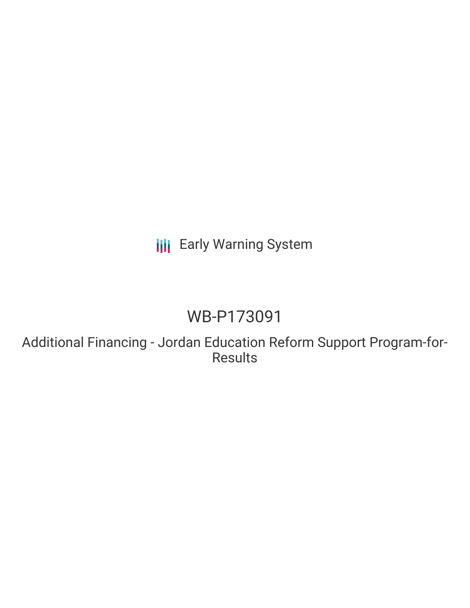## **III** Early Warning System

# WB-P173091

Additional Financing - Jordan Education Reform Support Program-for-Results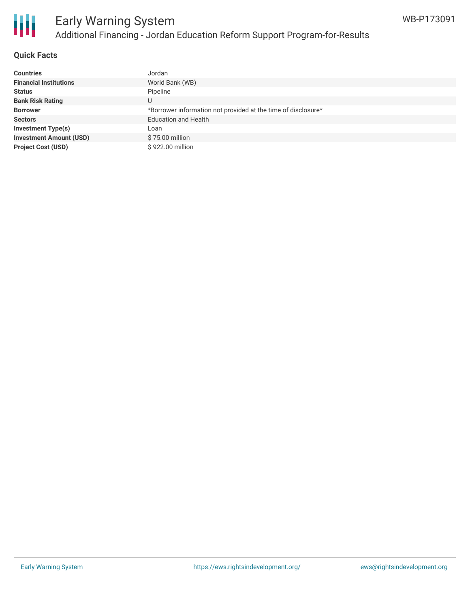

### **Quick Facts**

| <b>Countries</b>               | Jordan                                                        |
|--------------------------------|---------------------------------------------------------------|
| <b>Financial Institutions</b>  | World Bank (WB)                                               |
| <b>Status</b>                  | Pipeline                                                      |
| <b>Bank Risk Rating</b>        |                                                               |
| <b>Borrower</b>                | *Borrower information not provided at the time of disclosure* |
| <b>Sectors</b>                 | <b>Education and Health</b>                                   |
| <b>Investment Type(s)</b>      | Loan                                                          |
| <b>Investment Amount (USD)</b> | \$75.00 million                                               |
| <b>Project Cost (USD)</b>      | \$922.00 million                                              |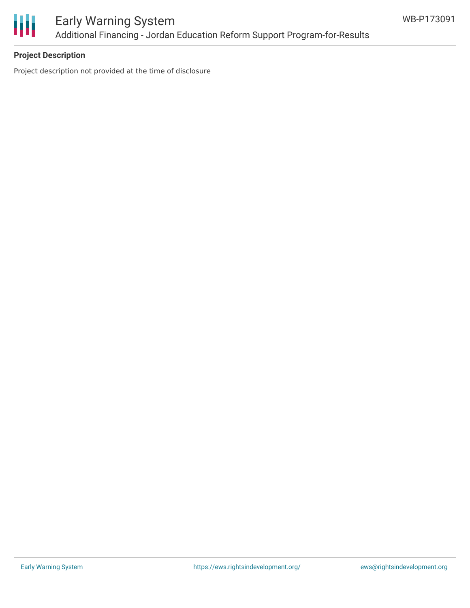

### **Project Description**

Project description not provided at the time of disclosure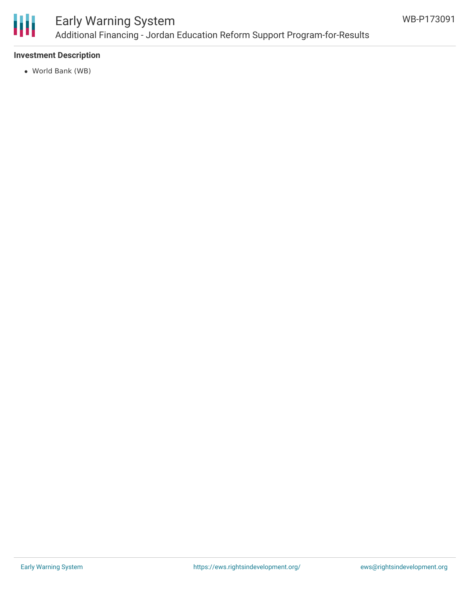

## Early Warning System Additional Financing - Jordan Education Reform Support Program-for-Results

### **Investment Description**

World Bank (WB)